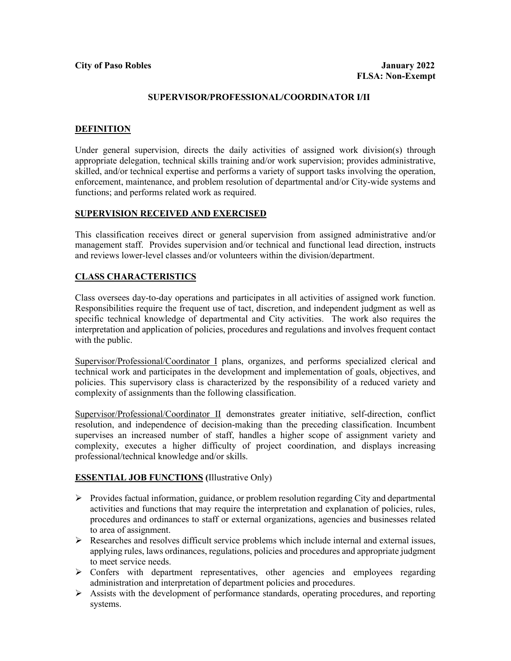### **SUPERVISOR/PROFESSIONAL/COORDINATOR I/II**

### **DEFINITION**

Under general supervision, directs the daily activities of assigned work division(s) through appropriate delegation, technical skills training and/or work supervision; provides administrative, skilled, and/or technical expertise and performs a variety of support tasks involving the operation, enforcement, maintenance, and problem resolution of departmental and/or City-wide systems and functions; and performs related work as required.

## **SUPERVISION RECEIVED AND EXERCISED**

This classification receives direct or general supervision from assigned administrative and/or management staff. Provides supervision and/or technical and functional lead direction, instructs and reviews lower-level classes and/or volunteers within the division/department.

## **CLASS CHARACTERISTICS**

Class oversees day-to-day operations and participates in all activities of assigned work function. Responsibilities require the frequent use of tact, discretion, and independent judgment as well as specific technical knowledge of departmental and City activities. The work also requires the interpretation and application of policies, procedures and regulations and involves frequent contact with the public.

Supervisor/Professional/Coordinator I plans, organizes, and performs specialized clerical and technical work and participates in the development and implementation of goals, objectives, and policies. This supervisory class is characterized by the responsibility of a reduced variety and complexity of assignments than the following classification.

Supervisor/Professional/Coordinator II demonstrates greater initiative, self-direction, conflict resolution, and independence of decision-making than the preceding classification. Incumbent supervises an increased number of staff, handles a higher scope of assignment variety and complexity, executes a higher difficulty of project coordination, and displays increasing professional/technical knowledge and/or skills.

## **ESSENTIAL JOB FUNCTIONS (**Illustrative Only)

- $\triangleright$  Provides factual information, guidance, or problem resolution regarding City and departmental activities and functions that may require the interpretation and explanation of policies, rules, procedures and ordinances to staff or external organizations, agencies and businesses related to area of assignment.
- Researches and resolves difficult service problems which include internal and external issues, applying rules, laws ordinances, regulations, policies and procedures and appropriate judgment to meet service needs.
- $\triangleright$  Confers with department representatives, other agencies and employees regarding administration and interpretation of department policies and procedures.
- $\triangleright$  Assists with the development of performance standards, operating procedures, and reporting systems.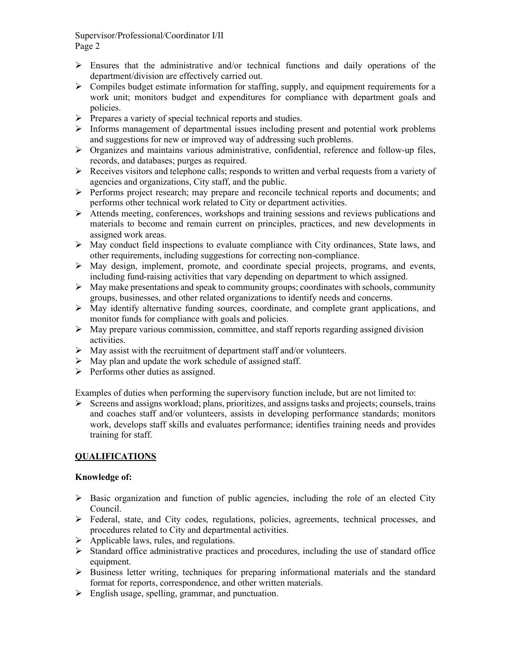- $\triangleright$  Ensures that the administrative and/or technical functions and daily operations of the department/division are effectively carried out.
- $\triangleright$  Compiles budget estimate information for staffing, supply, and equipment requirements for a work unit; monitors budget and expenditures for compliance with department goals and policies.
- $\triangleright$  Prepares a variety of special technical reports and studies.
- $\triangleright$  Informs management of departmental issues including present and potential work problems and suggestions for new or improved way of addressing such problems.
- $\triangleright$  Organizes and maintains various administrative, confidential, reference and follow-up files, records, and databases; purges as required.
- $\triangleright$  Receives visitors and telephone calls; responds to written and verbal requests from a variety of agencies and organizations, City staff, and the public.
- Performs project research; may prepare and reconcile technical reports and documents; and performs other technical work related to City or department activities.
- Attends meeting, conferences, workshops and training sessions and reviews publications and materials to become and remain current on principles, practices, and new developments in assigned work areas.
- $\triangleright$  May conduct field inspections to evaluate compliance with City ordinances, State laws, and other requirements, including suggestions for correcting non-compliance.
- $\triangleright$  May design, implement, promote, and coordinate special projects, programs, and events, including fund-raising activities that vary depending on department to which assigned.
- $\triangleright$  May make presentations and speak to community groups; coordinates with schools, community groups, businesses, and other related organizations to identify needs and concerns.
- $\triangleright$  May identify alternative funding sources, coordinate, and complete grant applications, and monitor funds for compliance with goals and policies.
- $\triangleright$  May prepare various commission, committee, and staff reports regarding assigned division activities.
- $\triangleright$  May assist with the recruitment of department staff and/or volunteers.
- $\triangleright$  May plan and update the work schedule of assigned staff.
- $\triangleright$  Performs other duties as assigned.

Examples of duties when performing the supervisory function include, but are not limited to:

 $\triangleright$  Screens and assigns workload; plans, prioritizes, and assigns tasks and projects; counsels, trains and coaches staff and/or volunteers, assists in developing performance standards; monitors work, develops staff skills and evaluates performance; identifies training needs and provides training for staff.

# **QUALIFICATIONS**

## **Knowledge of:**

- $\triangleright$  Basic organization and function of public agencies, including the role of an elected City Council.
- $\triangleright$  Federal, state, and City codes, regulations, policies, agreements, technical processes, and procedures related to City and departmental activities.
- $\triangleright$  Applicable laws, rules, and regulations.
- $\triangleright$  Standard office administrative practices and procedures, including the use of standard office equipment.
- $\triangleright$  Business letter writing, techniques for preparing informational materials and the standard format for reports, correspondence, and other written materials.
- $\triangleright$  English usage, spelling, grammar, and punctuation.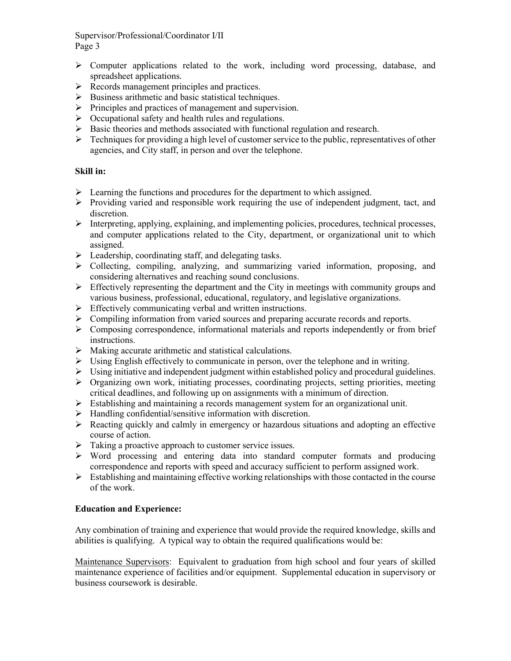- Computer applications related to the work, including word processing, database, and spreadsheet applications.
- $\triangleright$  Records management principles and practices.
- $\triangleright$  Business arithmetic and basic statistical techniques.
- $\triangleright$  Principles and practices of management and supervision.
- $\triangleright$  Occupational safety and health rules and regulations.
- $\triangleright$  Basic theories and methods associated with functional regulation and research.
- $\triangleright$  Techniques for providing a high level of customer service to the public, representatives of other agencies, and City staff, in person and over the telephone.

## **Skill in:**

- $\triangleright$  Learning the functions and procedures for the department to which assigned.
- $\triangleright$  Providing varied and responsible work requiring the use of independent judgment, tact, and discretion.
- Interpreting, applying, explaining, and implementing policies, procedures, technical processes, and computer applications related to the City, department, or organizational unit to which assigned.
- $\triangleright$  Leadership, coordinating staff, and delegating tasks.
- $\triangleright$  Collecting, compiling, analyzing, and summarizing varied information, proposing, and considering alternatives and reaching sound conclusions.
- $\triangleright$  Effectively representing the department and the City in meetings with community groups and various business, professional, educational, regulatory, and legislative organizations.
- $\triangleright$  Effectively communicating verbal and written instructions.
- $\triangleright$  Compiling information from varied sources and preparing accurate records and reports.
- $\triangleright$  Composing correspondence, informational materials and reports independently or from brief instructions.
- $\triangleright$  Making accurate arithmetic and statistical calculations.
- $\triangleright$  Using English effectively to communicate in person, over the telephone and in writing.
- $\triangleright$  Using initiative and independent judgment within established policy and procedural guidelines.
- $\triangleright$  Organizing own work, initiating processes, coordinating projects, setting priorities, meeting critical deadlines, and following up on assignments with a minimum of direction.
- $\triangleright$  Establishing and maintaining a records management system for an organizational unit.
- $\triangleright$  Handling confidential/sensitive information with discretion.
- $\triangleright$  Reacting quickly and calmly in emergency or hazardous situations and adopting an effective course of action.
- $\triangleright$  Taking a proactive approach to customer service issues.
- $\triangleright$  Word processing and entering data into standard computer formats and producing correspondence and reports with speed and accuracy sufficient to perform assigned work.
- $\triangleright$  Establishing and maintaining effective working relationships with those contacted in the course of the work.

# **Education and Experience:**

Any combination of training and experience that would provide the required knowledge, skills and abilities is qualifying. A typical way to obtain the required qualifications would be:

Maintenance Supervisors: Equivalent to graduation from high school and four years of skilled maintenance experience of facilities and/or equipment. Supplemental education in supervisory or business coursework is desirable.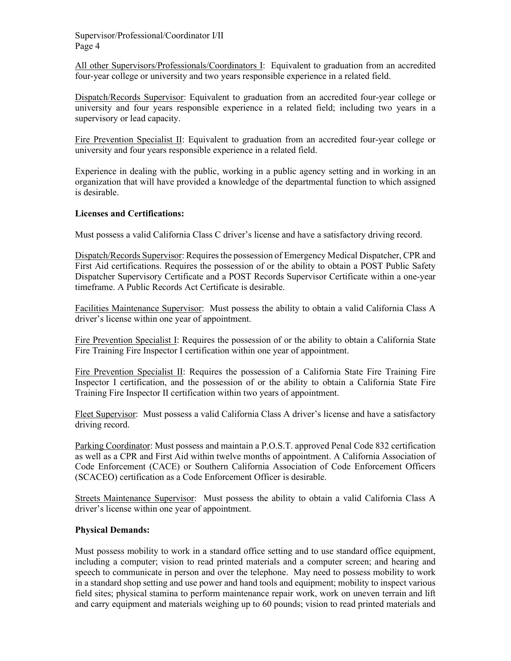All other Supervisors/Professionals/Coordinators I: Equivalent to graduation from an accredited four-year college or university and two years responsible experience in a related field.

Dispatch/Records Supervisor: Equivalent to graduation from an accredited four-year college or university and four years responsible experience in a related field; including two years in a supervisory or lead capacity.

Fire Prevention Specialist II: Equivalent to graduation from an accredited four-year college or university and four years responsible experience in a related field.

Experience in dealing with the public, working in a public agency setting and in working in an organization that will have provided a knowledge of the departmental function to which assigned is desirable.

## **Licenses and Certifications:**

Must possess a valid California Class C driver's license and have a satisfactory driving record.

Dispatch/Records Supervisor: Requires the possession of Emergency Medical Dispatcher, CPR and First Aid certifications. Requires the possession of or the ability to obtain a POST Public Safety Dispatcher Supervisory Certificate and a POST Records Supervisor Certificate within a one-year timeframe. A Public Records Act Certificate is desirable.

Facilities Maintenance Supervisor: Must possess the ability to obtain a valid California Class A driver's license within one year of appointment.

Fire Prevention Specialist I: Requires the possession of or the ability to obtain a California State Fire Training Fire Inspector I certification within one year of appointment.

Fire Prevention Specialist II: Requires the possession of a California State Fire Training Fire Inspector I certification, and the possession of or the ability to obtain a California State Fire Training Fire Inspector II certification within two years of appointment.

Fleet Supervisor: Must possess a valid California Class A driver's license and have a satisfactory driving record.

Parking Coordinator: Must possess and maintain a P.O.S.T. approved Penal Code 832 certification as well as a CPR and First Aid within twelve months of appointment. A California Association of Code Enforcement (CACE) or Southern California Association of Code Enforcement Officers (SCACEO) certification as a Code Enforcement Officer is desirable.

Streets Maintenance Supervisor: Must possess the ability to obtain a valid California Class A driver's license within one year of appointment.

#### **Physical Demands:**

Must possess mobility to work in a standard office setting and to use standard office equipment, including a computer; vision to read printed materials and a computer screen; and hearing and speech to communicate in person and over the telephone. May need to possess mobility to work in a standard shop setting and use power and hand tools and equipment; mobility to inspect various field sites; physical stamina to perform maintenance repair work, work on uneven terrain and lift and carry equipment and materials weighing up to 60 pounds; vision to read printed materials and